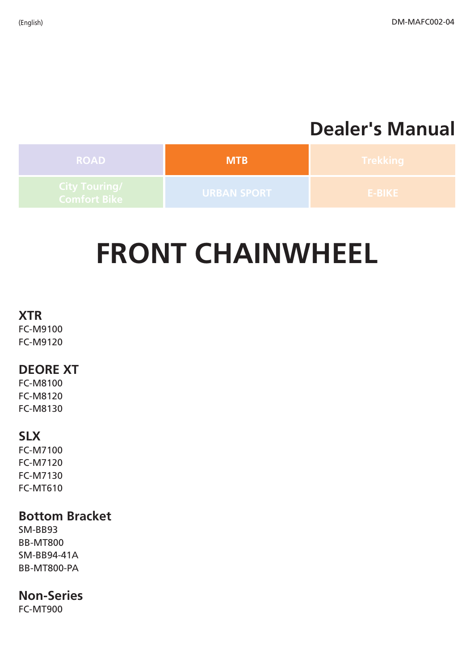# **Dealer's Manual**



# **FRONT CHAINWHEEL**

#### **XTR**

FC-M9100 FC-M9120

#### **DEORE XT**

FC-M8100 FC-M8120 FC-M8130

#### **SLX**

FC-M7100 FC-M7120 FC-M7130 FC-MT610

### **Bottom Bracket**

SM-BB93 BB-MT800 SM-BB94-41A BB-MT800-PA

#### **Non-Series**

FC-MT900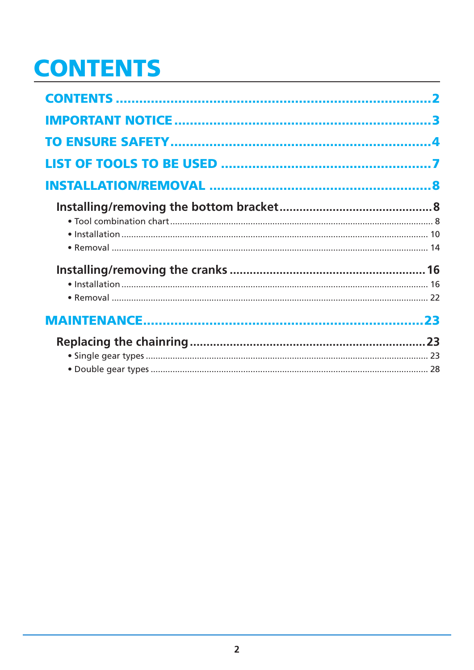# **CONTENTS**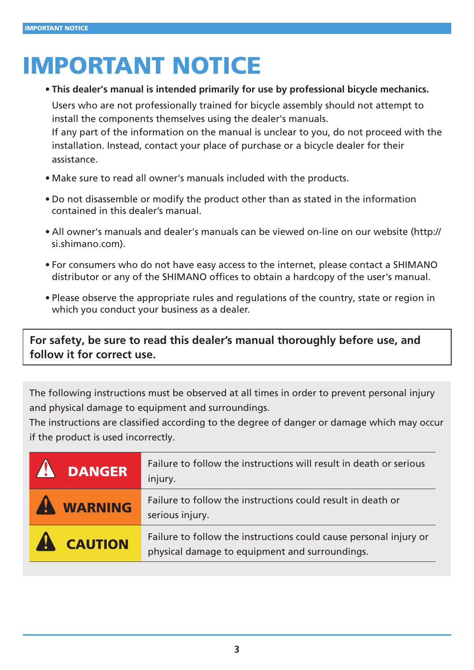# <span id="page-2-0"></span>IMPORTANT NOTICE

- **This dealer's manual is intended primarily for use by professional bicycle mechanics.** Users who are not professionally trained for bicycle assembly should not attempt to install the components themselves using the dealer's manuals. If any part of the information on the manual is unclear to you, do not proceed with the installation. Instead, contact your place of purchase or a bicycle dealer for their assistance.
- **•** Make sure to read all owner's manuals included with the products.
- **•** Do not disassemble or modify the product other than as stated in the information contained in this dealer's manual.
- **•** All owner's manuals and dealer's manuals can be viewed on-line on our website (http:// si.shimano.com).
- **•** For consumers who do not have easy access to the internet, please contact a SHIMANO distributor or any of the SHIMANO offices to obtain a hardcopy of the user's manual.
- **•** Please observe the appropriate rules and regulations of the country, state or region in which you conduct your business as a dealer.

**For safety, be sure to read this dealer's manual thoroughly before use, and follow it for correct use.**

The following instructions must be observed at all times in order to prevent personal injury and physical damage to equipment and surroundings.

The instructions are classified according to the degree of danger or damage which may occur if the product is used incorrectly.

| <b>DANGER</b>  | Failure to follow the instructions will result in death or serious<br>injury.                                       |
|----------------|---------------------------------------------------------------------------------------------------------------------|
| <b>WARNING</b> | Failure to follow the instructions could result in death or<br>serious injury.                                      |
| <b>CAUTION</b> | Failure to follow the instructions could cause personal injury or<br>physical damage to equipment and surroundings. |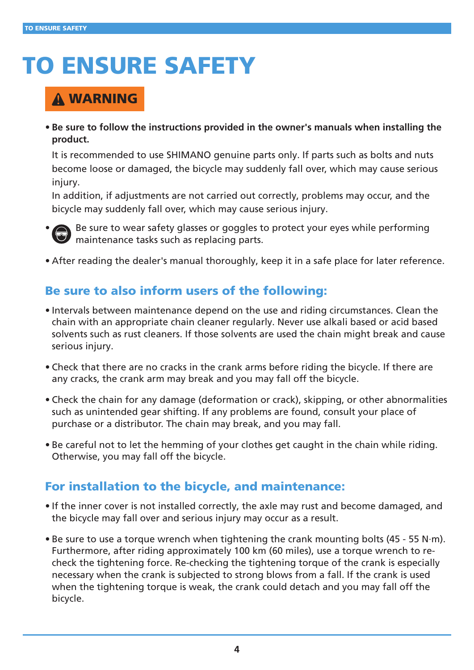# <span id="page-3-0"></span>TO ENSURE SAFETY

# **A WARNING**

**• Be sure to follow the instructions provided in the owner's manuals when installing the product.**

It is recommended to use SHIMANO genuine parts only. If parts such as bolts and nuts become loose or damaged, the bicycle may suddenly fall over, which may cause serious injury.

In addition, if adjustments are not carried out correctly, problems may occur, and the bicycle may suddenly fall over, which may cause serious injury.



**•** Be sure to wear safety glasses or goggles to protect your eyes while performing maintenance tasks such as replacing parts.

**•** After reading the dealer's manual thoroughly, keep it in a safe place for later reference.

#### Be sure to also inform users of the following:

- **•** Intervals between maintenance depend on the use and riding circumstances. Clean the chain with an appropriate chain cleaner regularly. Never use alkali based or acid based solvents such as rust cleaners. If those solvents are used the chain might break and cause serious injury.
- **•** Check that there are no cracks in the crank arms before riding the bicycle. If there are any cracks, the crank arm may break and you may fall off the bicycle.
- **•** Check the chain for any damage (deformation or crack), skipping, or other abnormalities such as unintended gear shifting. If any problems are found, consult your place of purchase or a distributor. The chain may break, and you may fall.
- **•** Be careful not to let the hemming of your clothes get caught in the chain while riding. Otherwise, you may fall off the bicycle.

#### For installation to the bicycle, and maintenance:

- **•** If the inner cover is not installed correctly, the axle may rust and become damaged, and the bicycle may fall over and serious injury may occur as a result.
- **•** Be sure to use a torque wrench when tightening the crank mounting bolts (45 55 N·m). Furthermore, after riding approximately 100 km (60 miles), use a torque wrench to recheck the tightening force. Re-checking the tightening torque of the crank is especially necessary when the crank is subjected to strong blows from a fall. If the crank is used when the tightening torque is weak, the crank could detach and you may fall off the bicycle.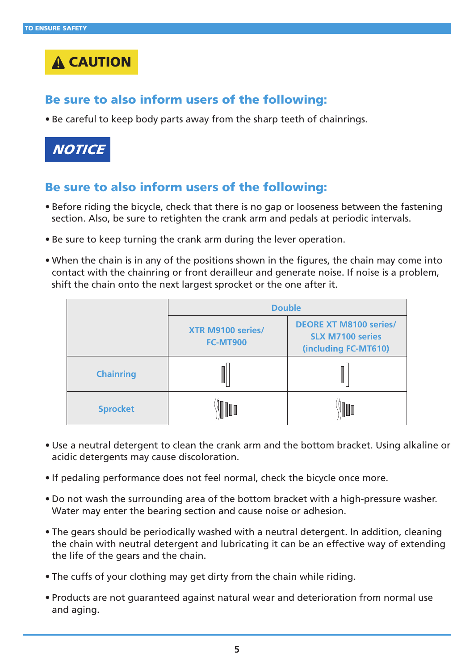# **A CAUTION**

#### Be sure to also inform users of the following:

**•** Be careful to keep body parts away from the sharp teeth of chainrings.



#### Be sure to also inform users of the following:

- **•** Before riding the bicycle, check that there is no gap or looseness between the fastening section. Also, be sure to retighten the crank arm and pedals at periodic intervals.
- **•** Be sure to keep turning the crank arm during the lever operation.
- **•** When the chain is in any of the positions shown in the figures, the chain may come into contact with the chainring or front derailleur and generate noise. If noise is a problem, shift the chain onto the next largest sprocket or the one after it.

|                  | <b>Double</b>                               |                                                                                  |  |
|------------------|---------------------------------------------|----------------------------------------------------------------------------------|--|
|                  | <b>XTR M9100 series/</b><br><b>FC-MT900</b> | <b>DEORE XT M8100 series/</b><br><b>SLX M7100 series</b><br>(including FC-MT610) |  |
| <b>Chainring</b> |                                             |                                                                                  |  |
| <b>Sprocket</b>  |                                             |                                                                                  |  |

- **•** Use a neutral detergent to clean the crank arm and the bottom bracket. Using alkaline or acidic detergents may cause discoloration.
- **•** If pedaling performance does not feel normal, check the bicycle once more.
- **•** Do not wash the surrounding area of the bottom bracket with a high-pressure washer. Water may enter the bearing section and cause noise or adhesion.
- **•** The gears should be periodically washed with a neutral detergent. In addition, cleaning the chain with neutral detergent and lubricating it can be an effective way of extending the life of the gears and the chain.
- **•** The cuffs of your clothing may get dirty from the chain while riding.
- **•** Products are not guaranteed against natural wear and deterioration from normal use and aging.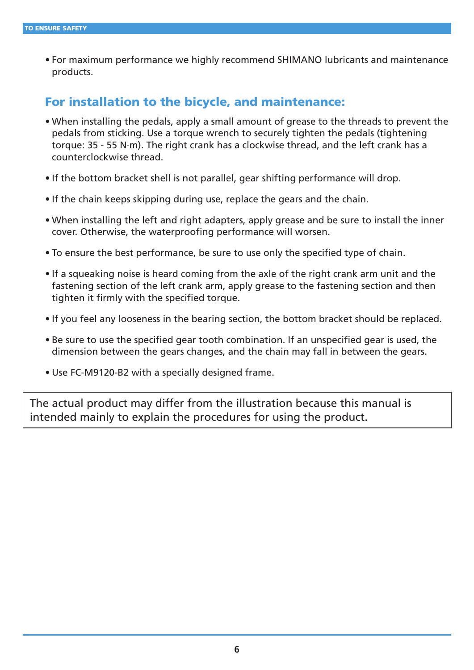**•** For maximum performance we highly recommend SHIMANO lubricants and maintenance products.

#### For installation to the bicycle, and maintenance:

- **•** When installing the pedals, apply a small amount of grease to the threads to prevent the pedals from sticking. Use a torque wrench to securely tighten the pedals (tightening torque: 35 - 55 N·m). The right crank has a clockwise thread, and the left crank has a counterclockwise thread.
- **•** If the bottom bracket shell is not parallel, gear shifting performance will drop.
- **•** If the chain keeps skipping during use, replace the gears and the chain.
- **•** When installing the left and right adapters, apply grease and be sure to install the inner cover. Otherwise, the waterproofing performance will worsen.
- **•** To ensure the best performance, be sure to use only the specified type of chain.
- **•** If a squeaking noise is heard coming from the axle of the right crank arm unit and the fastening section of the left crank arm, apply grease to the fastening section and then tighten it firmly with the specified torque.
- **•** If you feel any looseness in the bearing section, the bottom bracket should be replaced.
- **•** Be sure to use the specified gear tooth combination. If an unspecified gear is used, the dimension between the gears changes, and the chain may fall in between the gears.
- **•** Use FC-M9120-B2 with a specially designed frame.

The actual product may differ from the illustration because this manual is intended mainly to explain the procedures for using the product.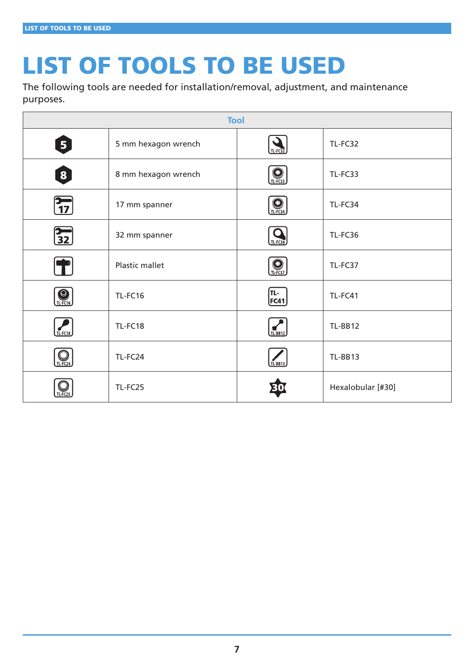# <span id="page-6-0"></span>LIST OF TOOLS TO BE USED

The following tools are needed for installation/removal, adjustment, and maintenance purposes.

| <b>Tool</b>         |                     |                                                                        |                   |
|---------------------|---------------------|------------------------------------------------------------------------|-------------------|
| 5                   | 5 mm hexagon wrench | $TL$ FC32                                                              | TL-FC32           |
| 8                   | 8 mm hexagon wrench | $\bigcirc$ TL FG33                                                     | TL-FC33           |
| $\frac{1}{17}$      | 17 mm spanner       | $\bigcirc$<br>TLFG34                                                   | TL-FC34           |
| $\frac{1}{32}$      | 32 mm spanner       | <b>TL-FC36</b>                                                         | TL-FC36           |
|                     | Plastic mallet      | $\bigcirc$<br>TLFG37                                                   | TL-FC37           |
| $\bigcirc$          | TL-FC16             | $\begin{bmatrix} \mathsf{T} \mathsf{L} \\ \mathsf{FC41} \end{bmatrix}$ | TL-FC41           |
| TL-FC18             | TL-FC18             | $\frac{1}{T L - BB12}$                                                 | TL-BB12           |
| $\bigcirc$ il FC24  | TL-FC24             | TL-BB13                                                                | TL-BB13           |
| TL FC <sub>25</sub> | TL-FC25             |                                                                        | Hexalobular [#30] |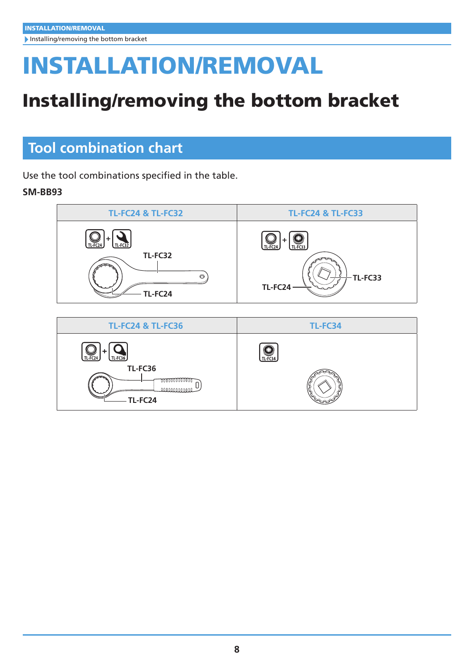# <span id="page-7-0"></span>INSTALLATION/REMOVAL

# Installing/removing the bottom bracket

## <span id="page-7-1"></span>**Tool combination chart**

Use the tool combinations specified in the table.

#### **SM-BB93**



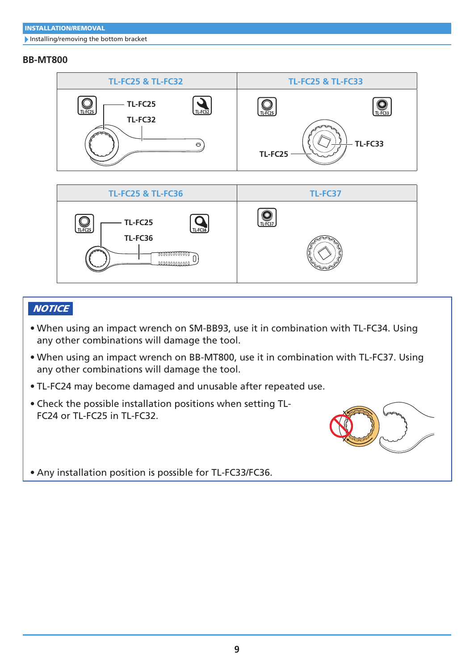#### **BB-MT800**





#### **NOTICE**

- **•** When using an impact wrench on SM-BB93, use it in combination with TL-FC34. Using any other combinations will damage the tool.
- **•** When using an impact wrench on BB-MT800, use it in combination with TL-FC37. Using any other combinations will damage the tool.
- **•** TL-FC24 may become damaged and unusable after repeated use.
- **•** Check the possible installation positions when setting TL-FC24 or TL-FC25 in TL-FC32.



**•** Any installation position is possible for TL-FC33/FC36.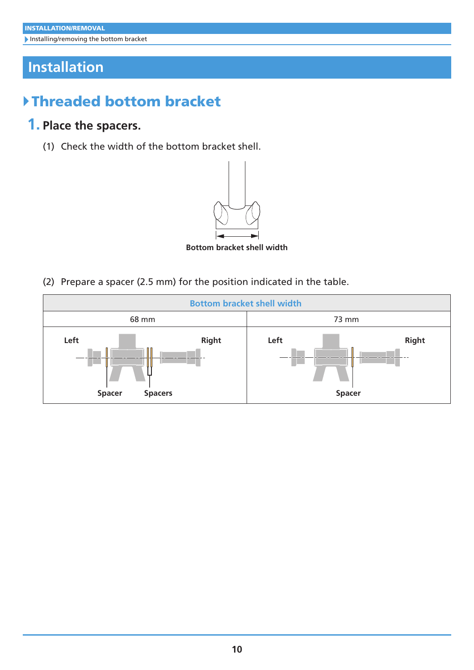# <span id="page-9-1"></span><span id="page-9-0"></span>**Installation**

# **>Threaded bottom bracket**

#### **1. Place the spacers.**

(1) Check the width of the bottom bracket shell.



**Bottom bracket shell width**

(2) Prepare a spacer (2.5 mm) for the position indicated in the table.

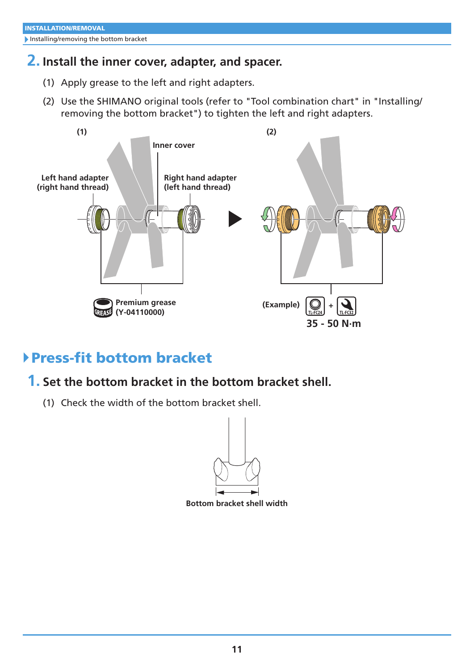#### **2. Install the inner cover, adapter, and spacer.**

- (1) Apply grease to the left and right adapters.
- (2) Use the SHIMANO original tools ([refer to "Tool combination chart" in "Installing/](#page-7-1) [removing the bottom bracket"](#page-7-1)) to tighten the left and right adapters.



# `Press-fit bottom bracket

#### **1. Set the bottom bracket in the bottom bracket shell.**

(1) Check the width of the bottom bracket shell.



**Bottom bracket shell width**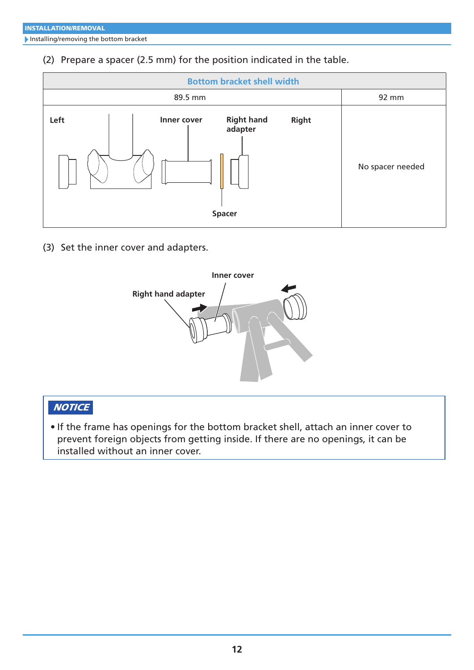(2) Prepare a spacer (2.5 mm) for the position indicated in the table.



(3) Set the inner cover and adapters.



#### **NOTICE**

**•** If the frame has openings for the bottom bracket shell, attach an inner cover to prevent foreign objects from getting inside. If there are no openings, it can be installed without an inner cover.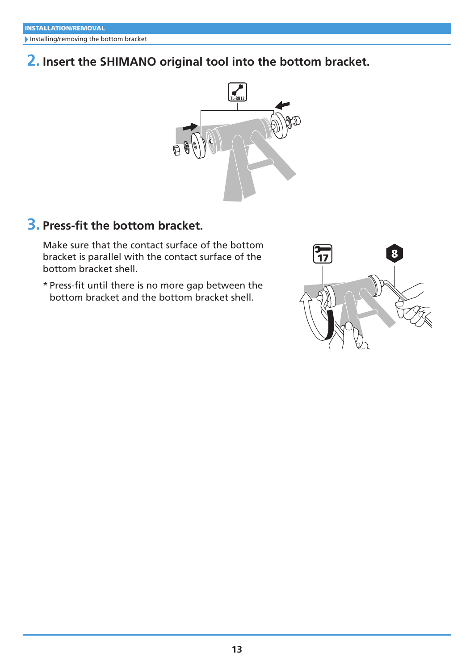#### **2. Insert the SHIMANO original tool into the bottom bracket.**



## **3. Press-fit the bottom bracket.**

Make sure that the contact surface of the bottom bracket is parallel with the contact surface of the bottom bracket shell.

\* Press-fit until there is no more gap between the bottom bracket and the bottom bracket shell.

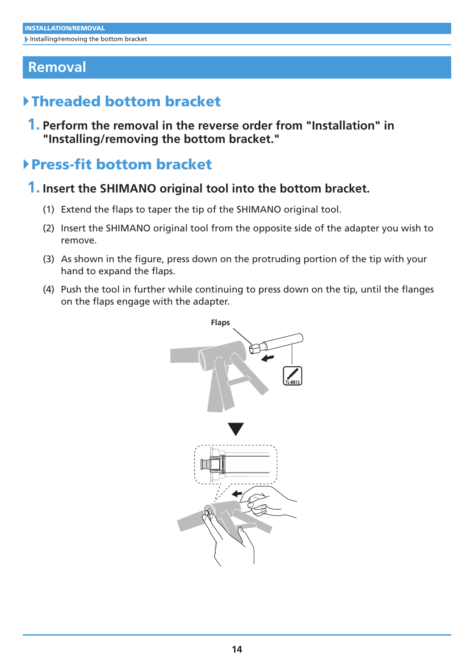## <span id="page-13-0"></span>**Removal**

# `Threaded bottom bracket

**1. Perform the removal in the reverse order from ["Installation" in](#page-9-1)  ["Installing/removing the bottom bracket."](#page-9-1)**

# `Press-fit bottom bracket

- **1. Insert the SHIMANO original tool into the bottom bracket.**
	- (1) Extend the flaps to taper the tip of the SHIMANO original tool.
	- (2) Insert the SHIMANO original tool from the opposite side of the adapter you wish to remove.
	- (3) As shown in the figure, press down on the protruding portion of the tip with your hand to expand the flaps.
	- (4) Push the tool in further while continuing to press down on the tip, until the flanges on the flaps engage with the adapter.

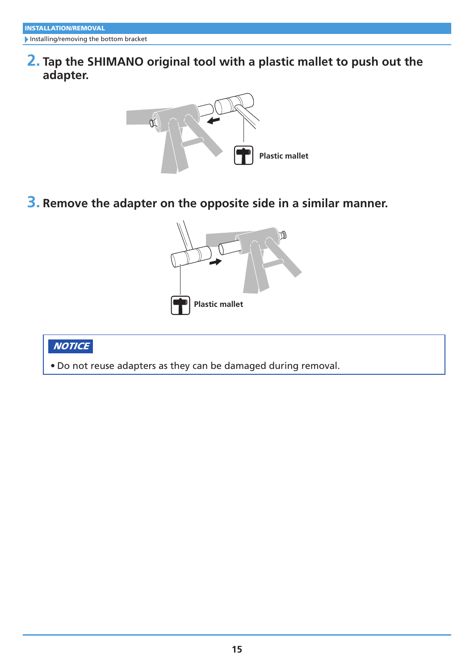**2. Tap the SHIMANO original tool with a plastic mallet to push out the adapter.**



**3. Remove the adapter on the opposite side in a similar manner.**



#### **NOTICE**

**•** Do not reuse adapters as they can be damaged during removal.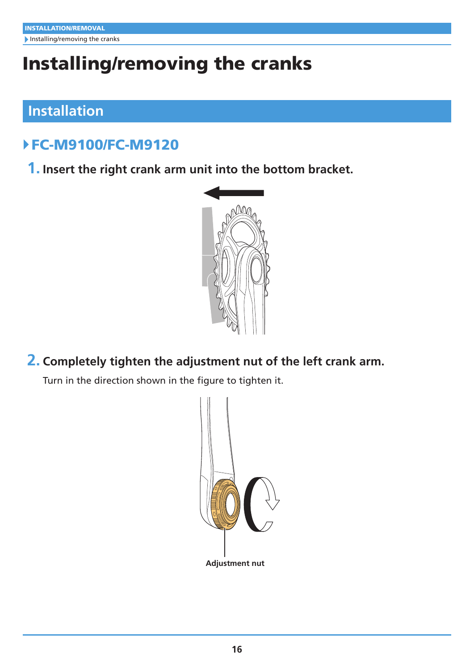# <span id="page-15-0"></span>Installing/removing the cranks

# <span id="page-15-1"></span>**Installation**

# `FC-M9100/FC-M9120

**1. Insert the right crank arm unit into the bottom bracket.**



**2. Completely tighten the adjustment nut of the left crank arm.**

Turn in the direction shown in the figure to tighten it.

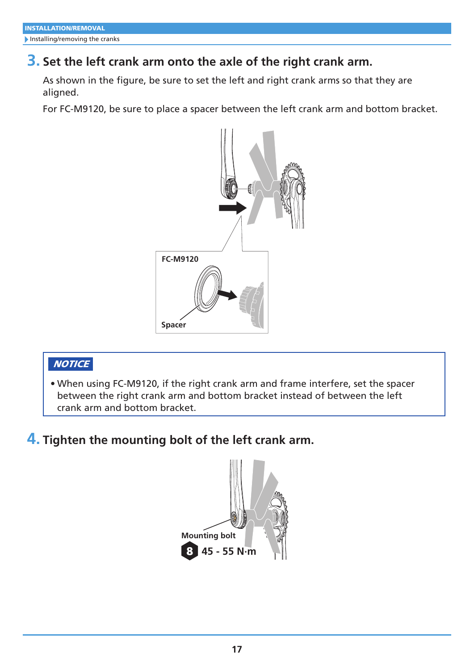#### **3. Set the left crank arm onto the axle of the right crank arm.**

As shown in the figure, be sure to set the left and right crank arms so that they are aligned.

For FC-M9120, be sure to place a spacer between the left crank arm and bottom bracket.



#### **NOTICE**

**•** When using FC-M9120, if the right crank arm and frame interfere, set the spacer between the right crank arm and bottom bracket instead of between the left crank arm and bottom bracket.

### **4. Tighten the mounting bolt of the left crank arm.**

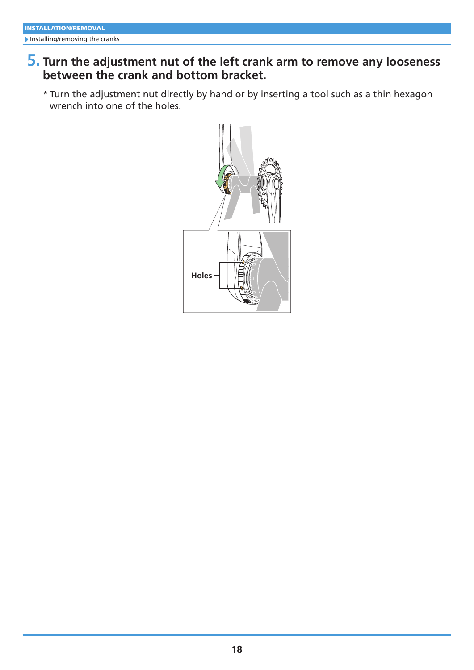#### **5. Turn the adjustment nut of the left crank arm to remove any looseness between the crank and bottom bracket.**

\* Turn the adjustment nut directly by hand or by inserting a tool such as a thin hexagon wrench into one of the holes.

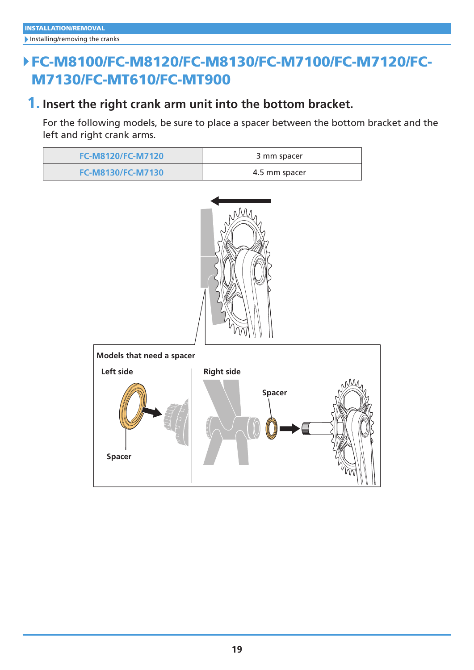## `FC-M8100/FC-M8120/FC-M8130/FC-M7100/FC-M7120/FC-M7130/FC-MT610/FC-MT900

#### **1. Insert the right crank arm unit into the bottom bracket.**

For the following models, be sure to place a spacer between the bottom bracket and the left and right crank arms.

| <b>FC-M8120/FC-M7120</b> | 3 mm spacer   |
|--------------------------|---------------|
| <b>FC-M8130/FC-M7130</b> | 4.5 mm spacer |

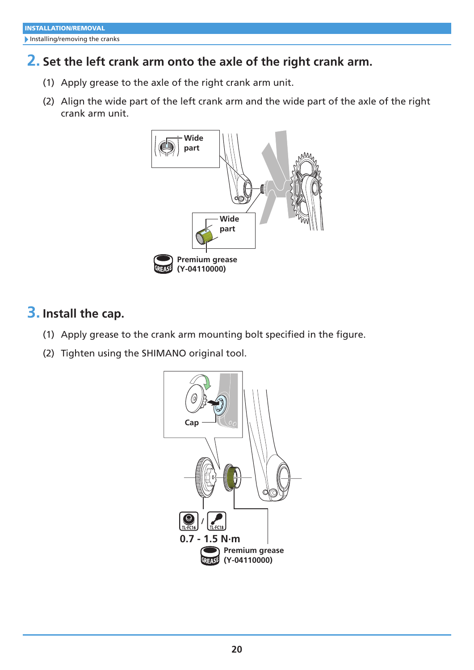#### **2. Set the left crank arm onto the axle of the right crank arm.**

- (1) Apply grease to the axle of the right crank arm unit.
- (2) Align the wide part of the left crank arm and the wide part of the axle of the right crank arm unit.



### **3. Install the cap.**

- (1) Apply grease to the crank arm mounting bolt specified in the figure.
- (2) Tighten using the SHIMANO original tool.

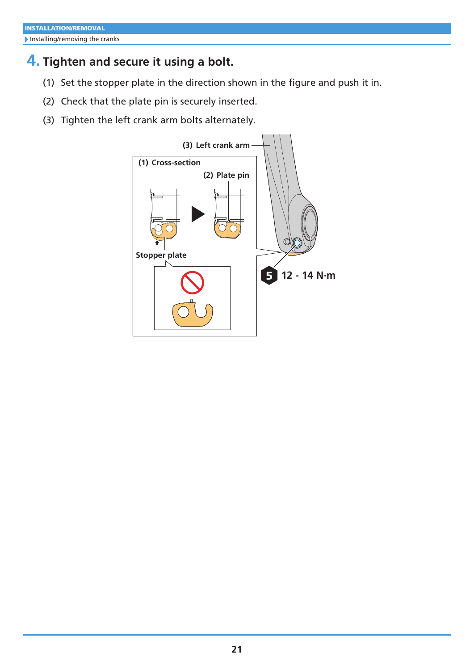## **4. Tighten and secure it using a bolt.**

- (1) Set the stopper plate in the direction shown in the figure and push it in.
- (2) Check that the plate pin is securely inserted.
- (3) Tighten the left crank arm bolts alternately.

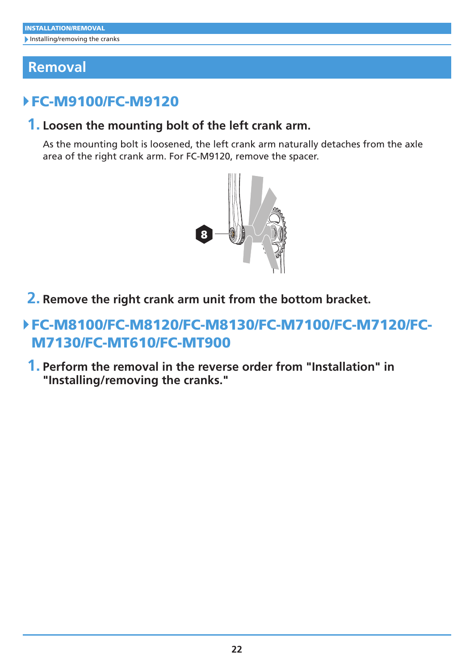## <span id="page-21-0"></span>**Removal**

# `FC-M9100/FC-M9120

#### **1. Loosen the mounting bolt of the left crank arm.**

As the mounting bolt is loosened, the left crank arm naturally detaches from the axle area of the right crank arm. For FC-M9120, remove the spacer.



**2. Remove the right crank arm unit from the bottom bracket.**

## `FC-M8100/FC-M8120/FC-M8130/FC-M7100/FC-M7120/FC-M7130/FC-MT610/FC-MT900

**1. Perform the removal in the reverse order from ["Installation" in](#page-15-1)  ["Installing/removing the cranks."](#page-15-1)**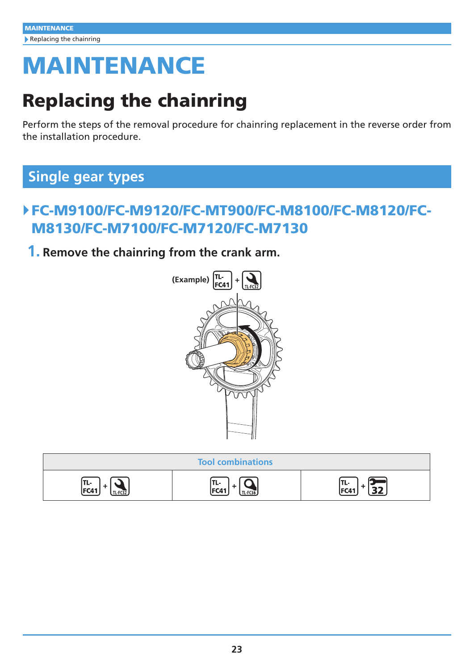# <span id="page-22-0"></span>MAINTENANCE

# Replacing the chainring

Perform the steps of the removal procedure for chainring replacement in the reverse order from the installation procedure.

# **Single gear types**

## `FC-M9100/FC-M9120/FC-MT900/FC-M8100/FC-M8120/FC-M8130/FC-M7100/FC-M7120/FC-M7130

#### **1. Remove the chainring from the crank arm.**



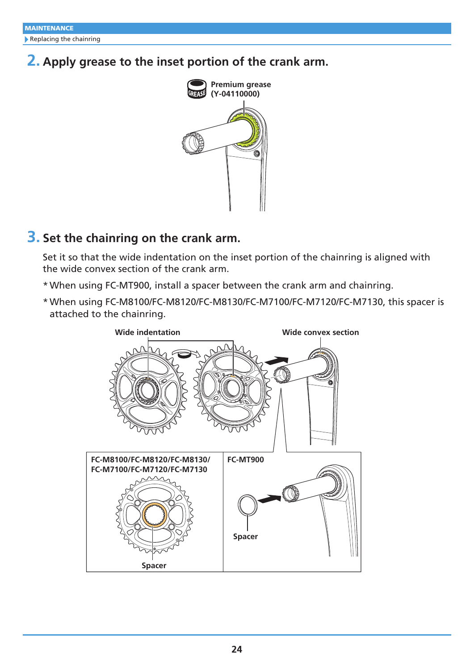Replacing the chainring

### **2. Apply grease to the inset portion of the crank arm.**



#### **3. Set the chainring on the crank arm.**

Set it so that the wide indentation on the inset portion of the chainring is aligned with the wide convex section of the crank arm.

- \*When using FC-MT900, install a spacer between the crank arm and chainring.
- \*When using FC-M8100/FC-M8120/FC-M8130/FC-M7100/FC-M7120/FC-M7130, this spacer is attached to the chainring.

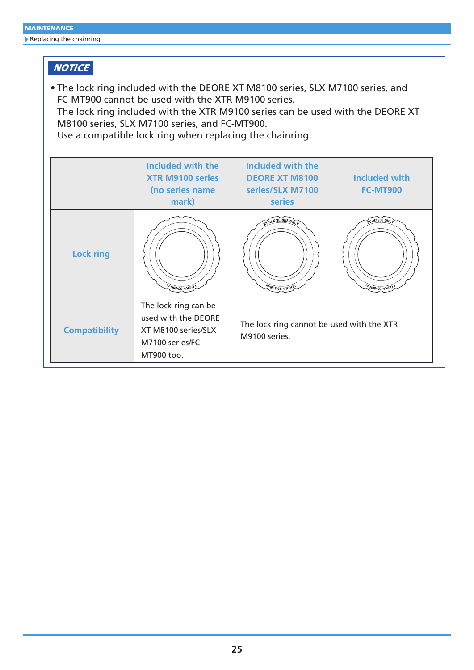#### **NOTICE**

**•** The lock ring included with the DEORE XT M8100 series, SLX M7100 series, and FC-MT900 cannot be used with the XTR M9100 series.

The lock ring included with the XTR M9100 series can be used with the DEORE XT M8100 series, SLX M7100 series, and FC-MT900.

Use a compatible lock ring when replacing the chainring.

|                      | Included with the<br><b>XTR M9100 series</b><br>(no series name<br>mark)                             | Included with the<br><b>DEORE XT M8100</b><br>series/SLX M7100<br>series | <b>Included with</b><br><b>FC-MT900</b> |
|----------------------|------------------------------------------------------------------------------------------------------|--------------------------------------------------------------------------|-----------------------------------------|
| <b>Lock ring</b>     | OCKE-35-50N                                                                                          | <b>VISLA SERIES ONLY</b><br>OCKES35-50N                                  | $C-MT900$ ONI<br>OCKE-35-50N            |
| <b>Compatibility</b> | The lock ring can be<br>used with the DEORE<br>XT M8100 series/SLX<br>M7100 series/FC-<br>MT900 too. | The lock ring cannot be used with the XTR<br>M9100 series.               |                                         |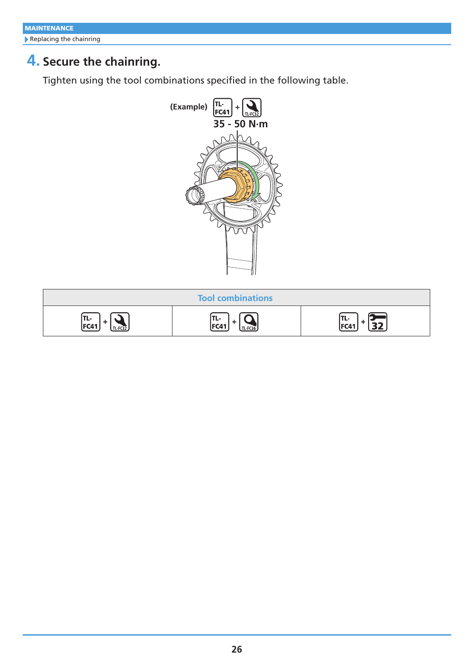| <b>MAINTENANCE</b>                            |
|-----------------------------------------------|
| $\blacktriangleright$ Replacing the chainring |

## **4. Secure the chainring.**

Tighten using the tool combinations specified in the following table.



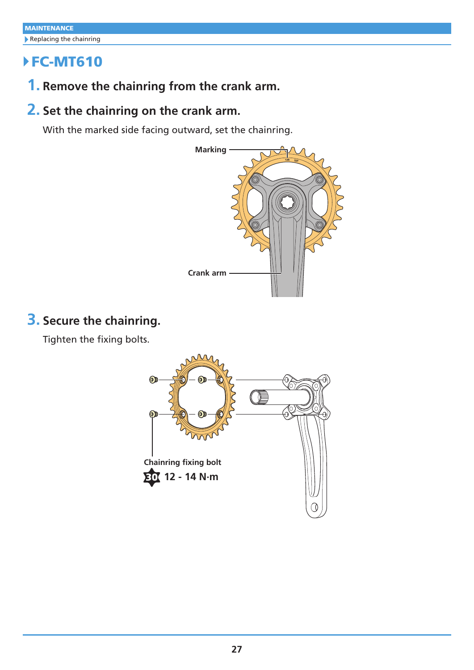# `FC-MT610

**1. Remove the chainring from the crank arm.**

### **2. Set the chainring on the crank arm.**

With the marked side facing outward, set the chainring.



## **3. Secure the chainring.**

Tighten the fixing bolts.

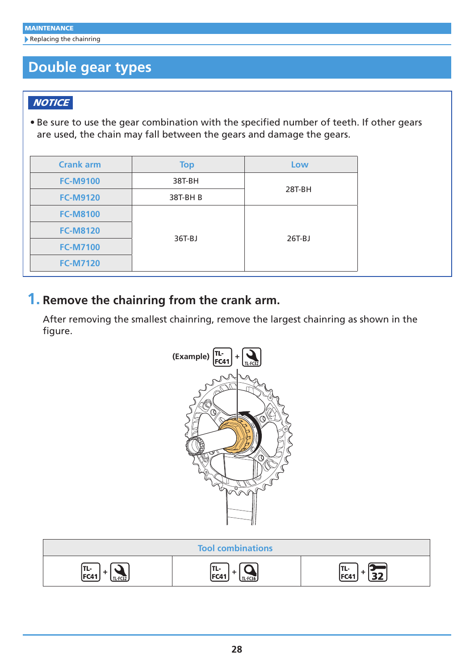<span id="page-27-0"></span>Replacing the chainring

# **Double gear types**

#### **NOTICE**

**•** Be sure to use the gear combination with the specified number of teeth. If other gears are used, the chain may fall between the gears and damage the gears.

| <b>Crank arm</b> | <b>Top</b> | Low      |
|------------------|------------|----------|
| <b>FC-M9100</b>  | 38T-BH     |          |
| <b>FC-M9120</b>  | 38T-BHB    | 28T-BH   |
| <b>FC-M8100</b>  | 36T-BJ     |          |
| <b>FC-M8120</b>  |            |          |
| <b>FC-M7100</b>  |            | $26T-BJ$ |
| <b>FC-M7120</b>  |            |          |

#### **1. Remove the chainring from the crank arm.**

After removing the smallest chainring, remove the largest chainring as shown in the figure.



| <b>Tool combinations</b> |           |      |  |
|--------------------------|-----------|------|--|
| ITL-                     | ITL-      | ITL- |  |
| FC41                     | FC41      | FC4' |  |
| TL-FC32 $\overline{ }$   | $TL$ FC36 | --   |  |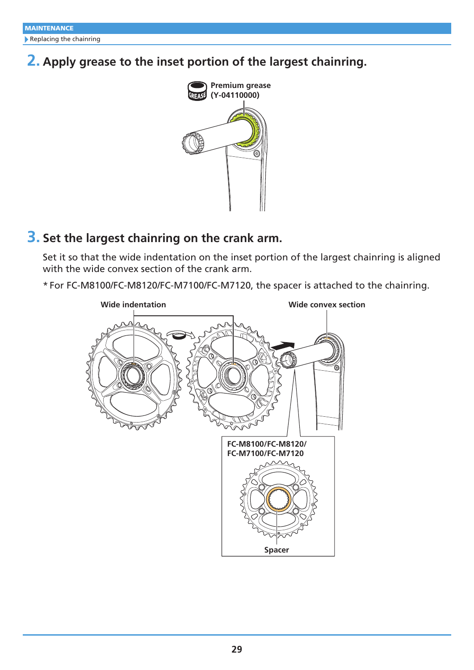Replacing the chainring

### **2. Apply grease to the inset portion of the largest chainring.**



#### **3. Set the largest chainring on the crank arm.**

Set it so that the wide indentation on the inset portion of the largest chainring is aligned with the wide convex section of the crank arm.

\* For FC-M8100/FC-M8120/FC-M7100/FC-M7120, the spacer is attached to the chainring.

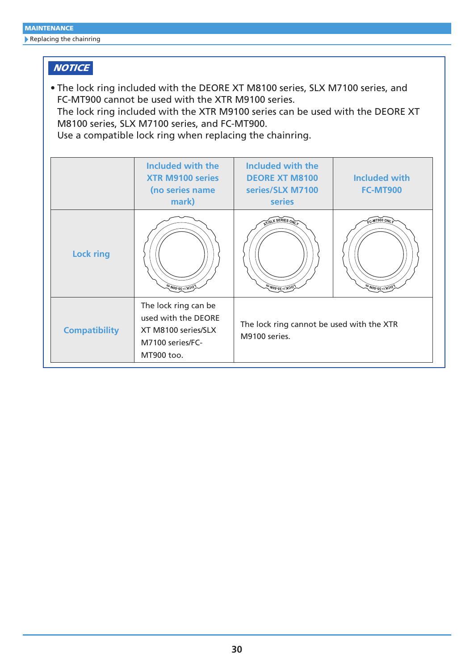#### **NOTICE**

**•** The lock ring included with the DEORE XT M8100 series, SLX M7100 series, and FC-MT900 cannot be used with the XTR M9100 series.

The lock ring included with the XTR M9100 series can be used with the DEORE XT M8100 series, SLX M7100 series, and FC-MT900.

Use a compatible lock ring when replacing the chainring.

|                      | Included with the<br><b>XTR M9100 series</b><br>(no series name<br>mark)                             | Included with the<br><b>DEORE XT M8100</b><br>series/SLX M7100<br>series | <b>Included with</b><br><b>FC-MT900</b> |
|----------------------|------------------------------------------------------------------------------------------------------|--------------------------------------------------------------------------|-----------------------------------------|
| <b>Lock ring</b>     | OCKE-35-50N                                                                                          | <b>VISLA SERIES ONLY</b><br>OCKES35-50N                                  | $C-MT900$ ONI<br>OCKE-35-50N            |
| <b>Compatibility</b> | The lock ring can be<br>used with the DEORE<br>XT M8100 series/SLX<br>M7100 series/FC-<br>MT900 too. | The lock ring cannot be used with the XTR<br>M9100 series.               |                                         |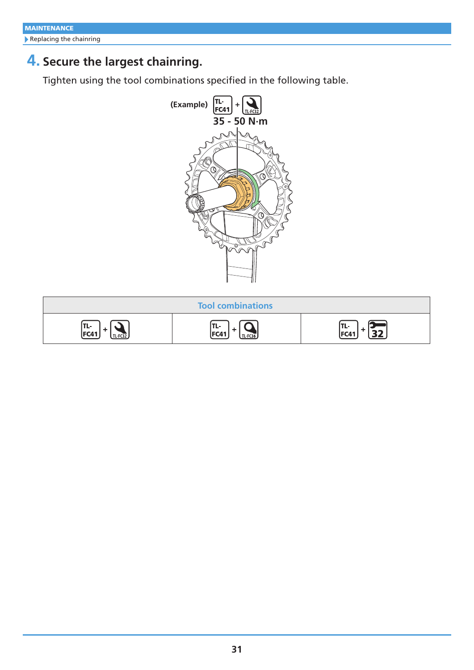## **4. Secure the largest chainring.**

Tighten using the tool combinations specified in the following table.



| <b>Tool combinations</b> |           |      |  |
|--------------------------|-----------|------|--|
| TL-                      | ITL-      | ITL- |  |
| FC41                     | FC41      | FC41 |  |
| $TL$ FC32 $\rfloor$      | $TL$ FC36 | ◡    |  |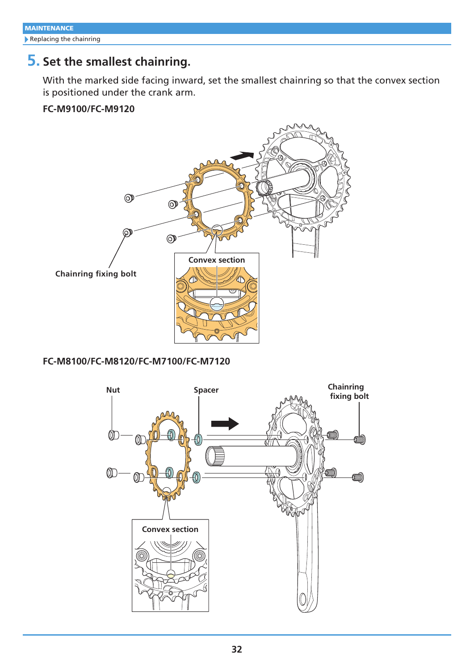### **5. Set the smallest chainring.**

With the marked side facing inward, set the smallest chainring so that the convex section is positioned under the crank arm.

#### **FC-M9100/FC-M9120**



#### **FC-M8100/FC-M8120/FC-M7100/FC-M7120**

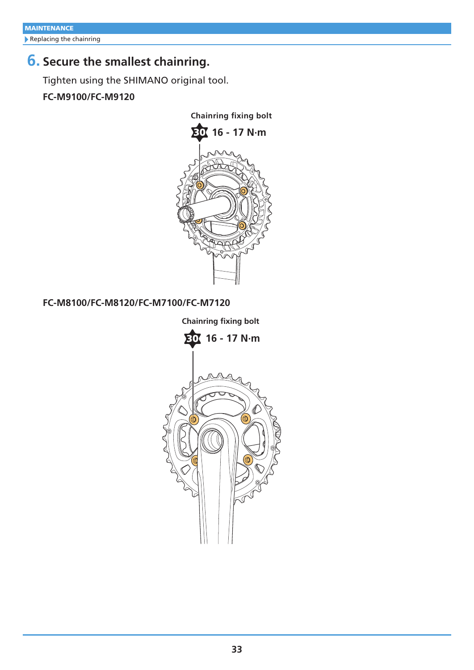### **6. Secure the smallest chainring.**

Tighten using the SHIMANO original tool.

#### **FC-M9100/FC-M9120**



**FC-M8100/FC-M8120/FC-M7100/FC-M7120**

**Chainring fixing bolt**